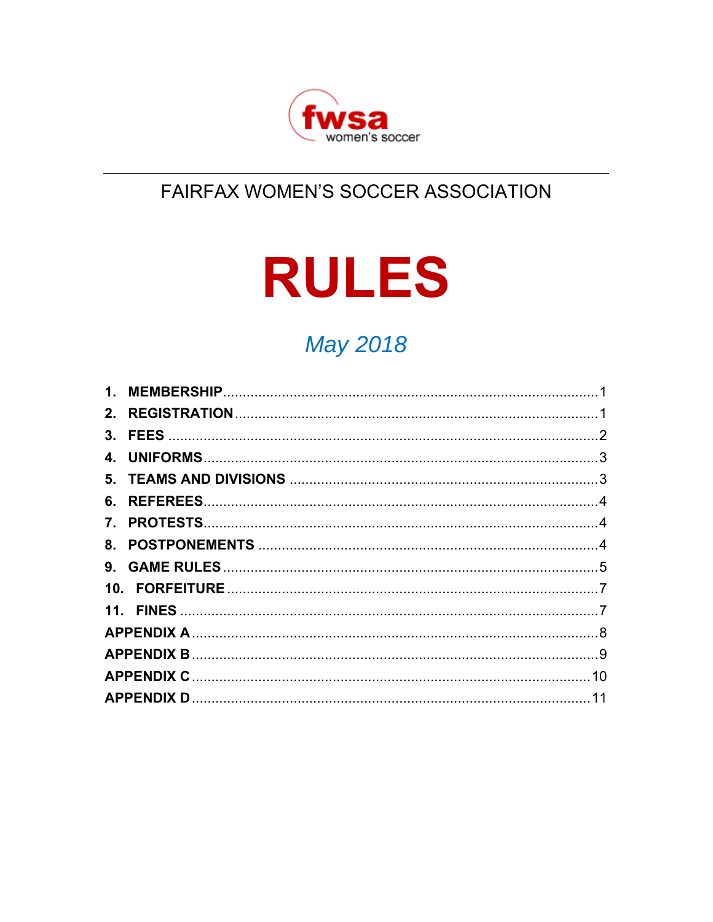

# FAIRFAX WOMEN'S SOCCER ASSOCIATION

# **RULES**

# **May 2018**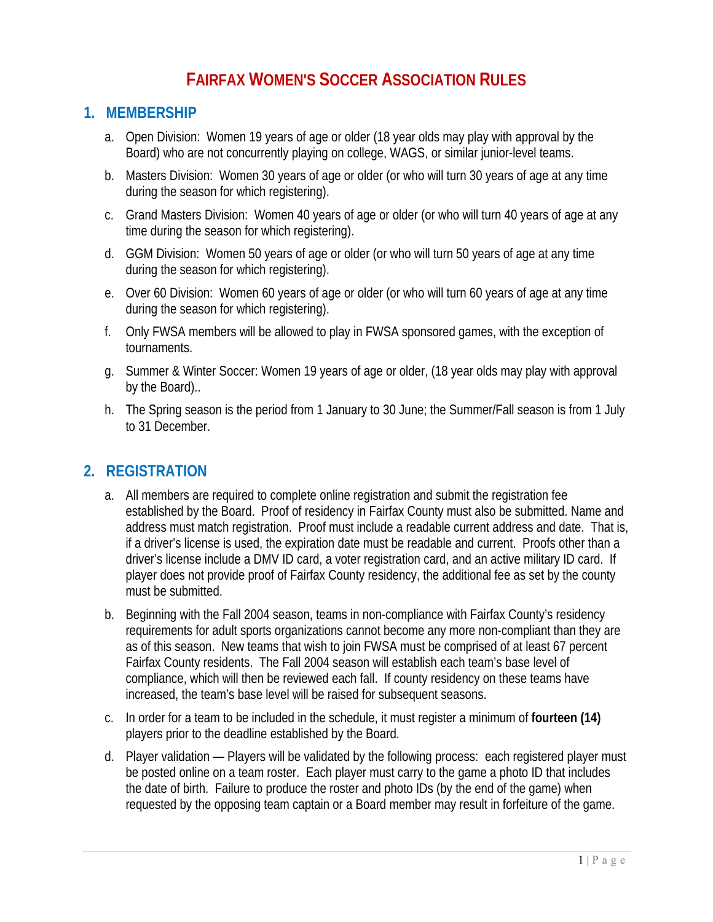# **FAIRFAX WOMEN'S SOCCER ASSOCIATION RULES**

## **1. MEMBERSHIP**

- a. Open Division: Women 19 years of age or older (18 year olds may play with approval by the Board) who are not concurrently playing on college, WAGS, or similar junior-level teams.
- b. Masters Division: Women 30 years of age or older (or who will turn 30 years of age at any time during the season for which registering).
- c. Grand Masters Division: Women 40 years of age or older (or who will turn 40 years of age at any time during the season for which registering).
- d. GGM Division: Women 50 years of age or older (or who will turn 50 years of age at any time during the season for which registering).
- e. Over 60 Division: Women 60 years of age or older (or who will turn 60 years of age at any time during the season for which registering).
- f. Only FWSA members will be allowed to play in FWSA sponsored games, with the exception of tournaments.
- g. Summer & Winter Soccer: Women 19 years of age or older, (18 year olds may play with approval by the Board)..
- h. The Spring season is the period from 1 January to 30 June; the Summer/Fall season is from 1 July to 31 December.

## **2. REGISTRATION**

- a. All members are required to complete online registration and submit the registration fee established by the Board. Proof of residency in Fairfax County must also be submitted. Name and address must match registration. Proof must include a readable current address and date. That is, if a driver's license is used, the expiration date must be readable and current. Proofs other than a driver's license include a DMV ID card, a voter registration card, and an active military ID card. If player does not provide proof of Fairfax County residency, the additional fee as set by the county must be submitted.
- b. Beginning with the Fall 2004 season, teams in non-compliance with Fairfax County's residency requirements for adult sports organizations cannot become any more non-compliant than they are as of this season. New teams that wish to join FWSA must be comprised of at least 67 percent Fairfax County residents. The Fall 2004 season will establish each team's base level of compliance, which will then be reviewed each fall. If county residency on these teams have increased, the team's base level will be raised for subsequent seasons.
- c. In order for a team to be included in the schedule, it must register a minimum of **fourteen (14)** players prior to the deadline established by the Board.
- d. Player validation Players will be validated by the following process: each registered player must be posted online on a team roster. Each player must carry to the game a photo ID that includes the date of birth. Failure to produce the roster and photo IDs (by the end of the game) when requested by the opposing team captain or a Board member may result in forfeiture of the game.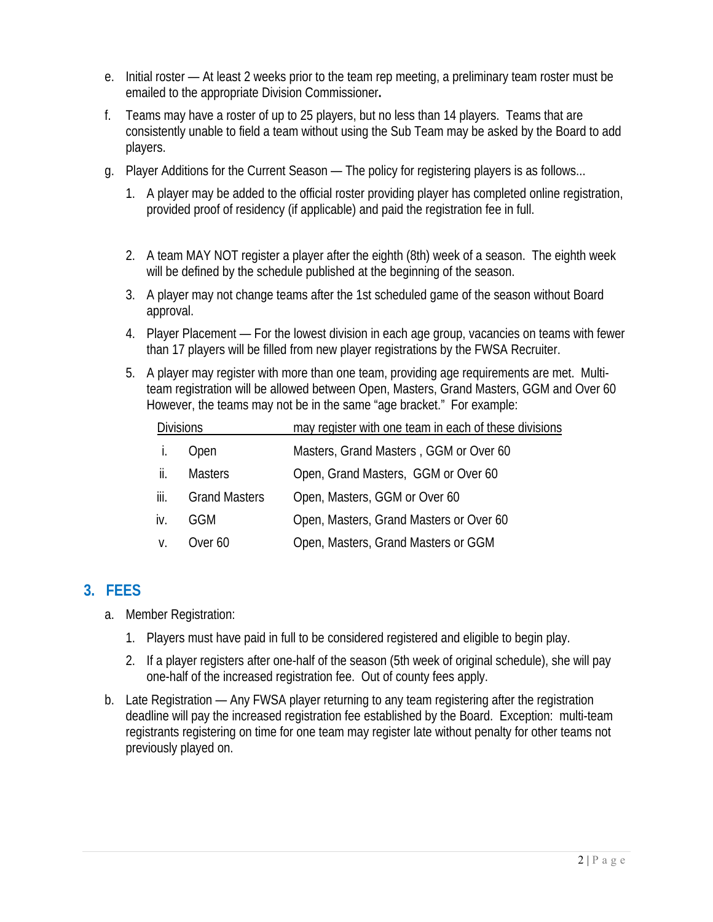- e. Initial roster At least 2 weeks prior to the team rep meeting, a preliminary team roster must be emailed to the appropriate Division Commissioner**.**
- f. Teams may have a roster of up to 25 players, but no less than 14 players. Teams that are consistently unable to field a team without using the Sub Team may be asked by the Board to add players.
- g. Player Additions for the Current Season The policy for registering players is as follows...
	- 1. A player may be added to the official roster providing player has completed online registration, provided proof of residency (if applicable) and paid the registration fee in full.
	- 2. A team MAY NOT register a player after the eighth (8th) week of a season. The eighth week will be defined by the schedule published at the beginning of the season.
	- 3. A player may not change teams after the 1st scheduled game of the season without Board approval.
	- 4. Player Placement For the lowest division in each age group, vacancies on teams with fewer than 17 players will be filled from new player registrations by the FWSA Recruiter.
	- 5. A player may register with more than one team, providing age requirements are met. Multiteam registration will be allowed between Open, Masters, Grand Masters, GGM and Over 60 However, the teams may not be in the same "age bracket." For example:

| <b>Divisions</b> |                      | may register with one team in each of these divisions |
|------------------|----------------------|-------------------------------------------------------|
|                  | Open                 | Masters, Grand Masters, GGM or Over 60                |
| ii.              | <b>Masters</b>       | Open, Grand Masters, GGM or Over 60                   |
| iii.             | <b>Grand Masters</b> | Open, Masters, GGM or Over 60                         |
| İV.              | GGM                  | Open, Masters, Grand Masters or Over 60               |
| V.               | Over 60              | Open, Masters, Grand Masters or GGM                   |

## **3. FEES**

- a. Member Registration:
	- 1. Players must have paid in full to be considered registered and eligible to begin play.
	- 2. If a player registers after one-half of the season (5th week of original schedule), she will pay one-half of the increased registration fee. Out of county fees apply.
- b. Late Registration Any FWSA player returning to any team registering after the registration deadline will pay the increased registration fee established by the Board. Exception: multi-team registrants registering on time for one team may register late without penalty for other teams not previously played on.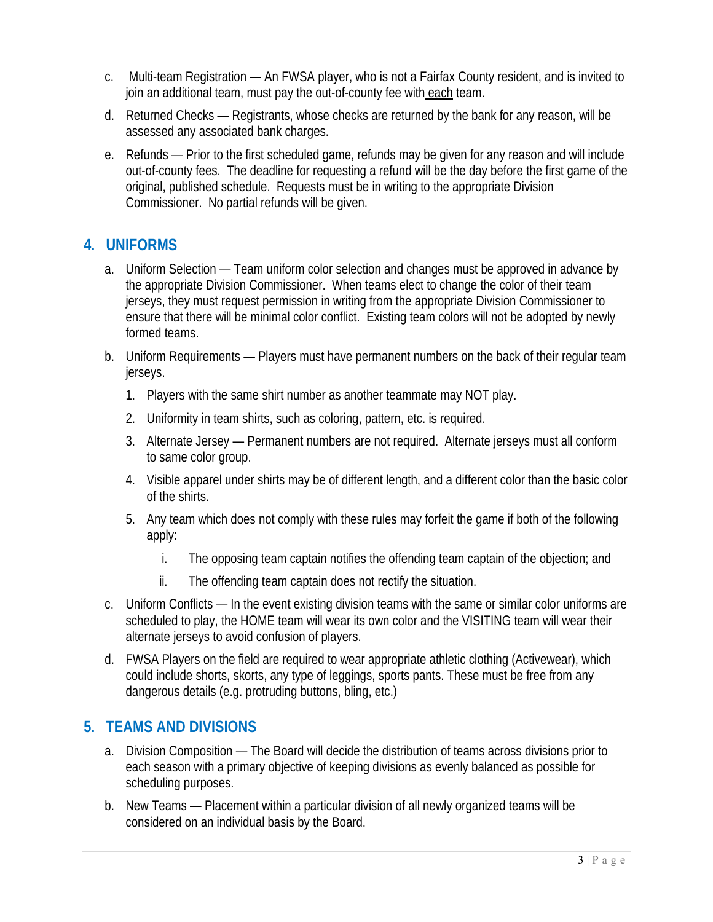- c. Multi-team Registration An FWSA player, who is not a Fairfax County resident, and is invited to join an additional team, must pay the out-of-county fee with each team.
- d. Returned Checks Registrants, whose checks are returned by the bank for any reason, will be assessed any associated bank charges.
- e. Refunds Prior to the first scheduled game, refunds may be given for any reason and will include out-of-county fees. The deadline for requesting a refund will be the day before the first game of the original, published schedule. Requests must be in writing to the appropriate Division Commissioner. No partial refunds will be given.

## **4. UNIFORMS**

- a. Uniform Selection Team uniform color selection and changes must be approved in advance by the appropriate Division Commissioner. When teams elect to change the color of their team jerseys, they must request permission in writing from the appropriate Division Commissioner to ensure that there will be minimal color conflict. Existing team colors will not be adopted by newly formed teams.
- b. Uniform Requirements Players must have permanent numbers on the back of their regular team jerseys.
	- 1. Players with the same shirt number as another teammate may NOT play.
	- 2. Uniformity in team shirts, such as coloring, pattern, etc. is required.
	- 3. Alternate Jersey Permanent numbers are not required. Alternate jerseys must all conform to same color group.
	- 4. Visible apparel under shirts may be of different length, and a different color than the basic color of the shirts.
	- 5. Any team which does not comply with these rules may forfeit the game if both of the following apply:
		- i. The opposing team captain notifies the offending team captain of the objection; and
		- ii. The offending team captain does not rectify the situation.
- c. Uniform Conflicts In the event existing division teams with the same or similar color uniforms are scheduled to play, the HOME team will wear its own color and the VISITING team will wear their alternate jerseys to avoid confusion of players.
- d. FWSA Players on the field are required to wear appropriate athletic clothing (Activewear), which could include shorts, skorts, any type of leggings, sports pants. These must be free from any dangerous details (e.g. protruding buttons, bling, etc.)

## **5. TEAMS AND DIVISIONS**

- a. Division Composition The Board will decide the distribution of teams across divisions prior to each season with a primary objective of keeping divisions as evenly balanced as possible for scheduling purposes.
- b. New Teams Placement within a particular division of all newly organized teams will be considered on an individual basis by the Board.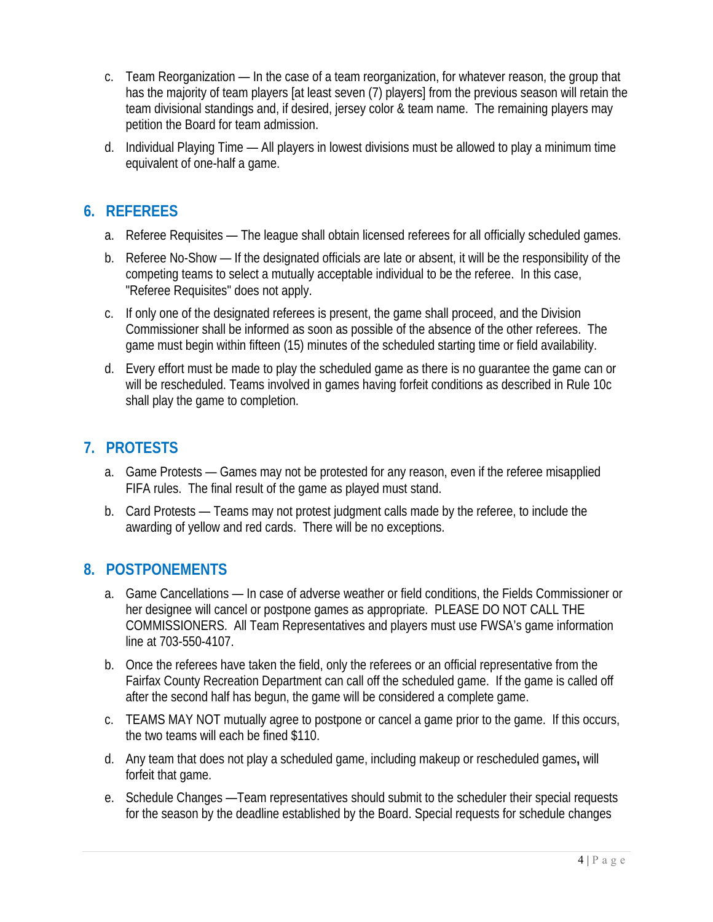- c. Team Reorganization In the case of a team reorganization, for whatever reason, the group that has the majority of team players [at least seven (7) players] from the previous season will retain the team divisional standings and, if desired, jersey color & team name. The remaining players may petition the Board for team admission.
- d. Individual Playing Time All players in lowest divisions must be allowed to play a minimum time equivalent of one-half a game.

## **6. REFEREES**

- a. Referee Requisites The league shall obtain licensed referees for all officially scheduled games.
- b. Referee No-Show If the designated officials are late or absent, it will be the responsibility of the competing teams to select a mutually acceptable individual to be the referee. In this case, "Referee Requisites" does not apply.
- c. If only one of the designated referees is present, the game shall proceed, and the Division Commissioner shall be informed as soon as possible of the absence of the other referees. The game must begin within fifteen (15) minutes of the scheduled starting time or field availability.
- d. Every effort must be made to play the scheduled game as there is no guarantee the game can or will be rescheduled. Teams involved in games having forfeit conditions as described in Rule 10c shall play the game to completion.

## **7. PROTESTS**

- a. Game Protests Games may not be protested for any reason, even if the referee misapplied FIFA rules. The final result of the game as played must stand.
- b. Card Protests Teams may not protest judgment calls made by the referee, to include the awarding of yellow and red cards. There will be no exceptions.

## **8. POSTPONEMENTS**

- a. Game Cancellations In case of adverse weather or field conditions, the Fields Commissioner or her designee will cancel or postpone games as appropriate. PLEASE DO NOT CALL THE COMMISSIONERS. All Team Representatives and players must use FWSA's game information line at 703-550-4107.
- b. Once the referees have taken the field, only the referees or an official representative from the Fairfax County Recreation Department can call off the scheduled game. If the game is called off after the second half has begun, the game will be considered a complete game.
- c. TEAMS MAY NOT mutually agree to postpone or cancel a game prior to the game. If this occurs, the two teams will each be fined \$110.
- d. Any team that does not play a scheduled game, including makeup or rescheduled games**,** will forfeit that game.
- e. Schedule Changes —Team representatives should submit to the scheduler their special requests for the season by the deadline established by the Board. Special requests for schedule changes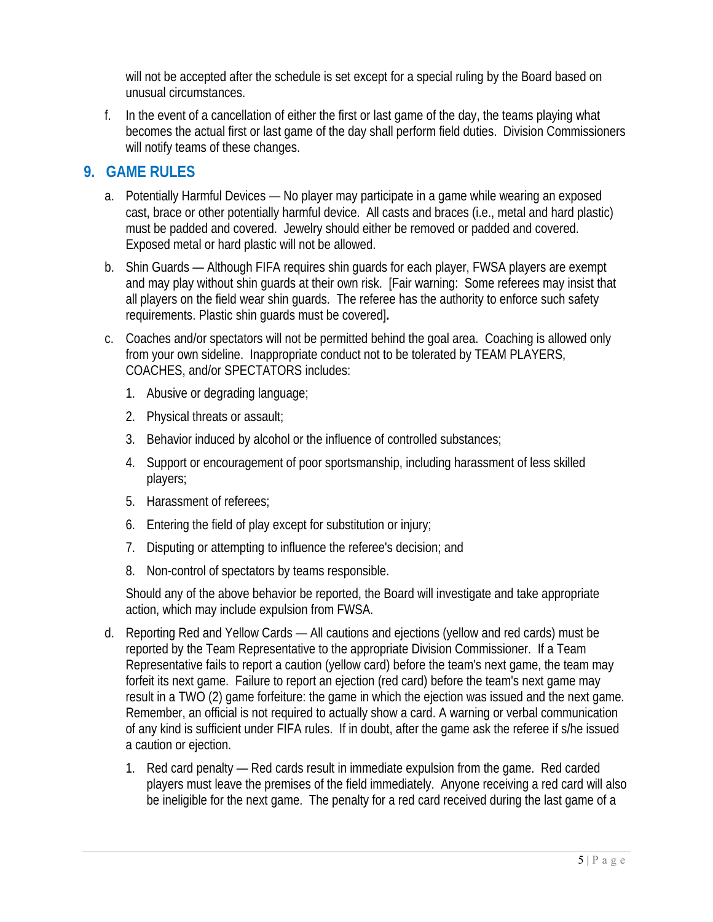will not be accepted after the schedule is set except for a special ruling by the Board based on unusual circumstances.

f. In the event of a cancellation of either the first or last game of the day, the teams playing what becomes the actual first or last game of the day shall perform field duties. Division Commissioners will notify teams of these changes.

## **9. GAME RULES**

- a. Potentially Harmful Devices No player may participate in a game while wearing an exposed cast, brace or other potentially harmful device. All casts and braces (i.e., metal and hard plastic) must be padded and covered. Jewelry should either be removed or padded and covered. Exposed metal or hard plastic will not be allowed.
- b. Shin Guards Although FIFA requires shin guards for each player, FWSA players are exempt and may play without shin guards at their own risk. [Fair warning: Some referees may insist that all players on the field wear shin guards. The referee has the authority to enforce such safety requirements. Plastic shin guards must be covered]**.**
- c. Coaches and/or spectators will not be permitted behind the goal area. Coaching is allowed only from your own sideline. Inappropriate conduct not to be tolerated by TEAM PLAYERS, COACHES, and/or SPECTATORS includes:
	- 1. Abusive or degrading language;
	- 2. Physical threats or assault;
	- 3. Behavior induced by alcohol or the influence of controlled substances;
	- 4. Support or encouragement of poor sportsmanship, including harassment of less skilled players;
	- 5. Harassment of referees;
	- 6. Entering the field of play except for substitution or injury;
	- 7. Disputing or attempting to influence the referee's decision; and
	- 8. Non-control of spectators by teams responsible.

Should any of the above behavior be reported, the Board will investigate and take appropriate action, which may include expulsion from FWSA.

- d. Reporting Red and Yellow Cards All cautions and ejections (yellow and red cards) must be reported by the Team Representative to the appropriate Division Commissioner. If a Team Representative fails to report a caution (yellow card) before the team's next game, the team may forfeit its next game. Failure to report an ejection (red card) before the team's next game may result in a TWO (2) game forfeiture: the game in which the ejection was issued and the next game. Remember, an official is not required to actually show a card. A warning or verbal communication of any kind is sufficient under FIFA rules. If in doubt, after the game ask the referee if s/he issued a caution or ejection.
	- 1. Red card penalty Red cards result in immediate expulsion from the game. Red carded players must leave the premises of the field immediately. Anyone receiving a red card will also be ineligible for the next game. The penalty for a red card received during the last game of a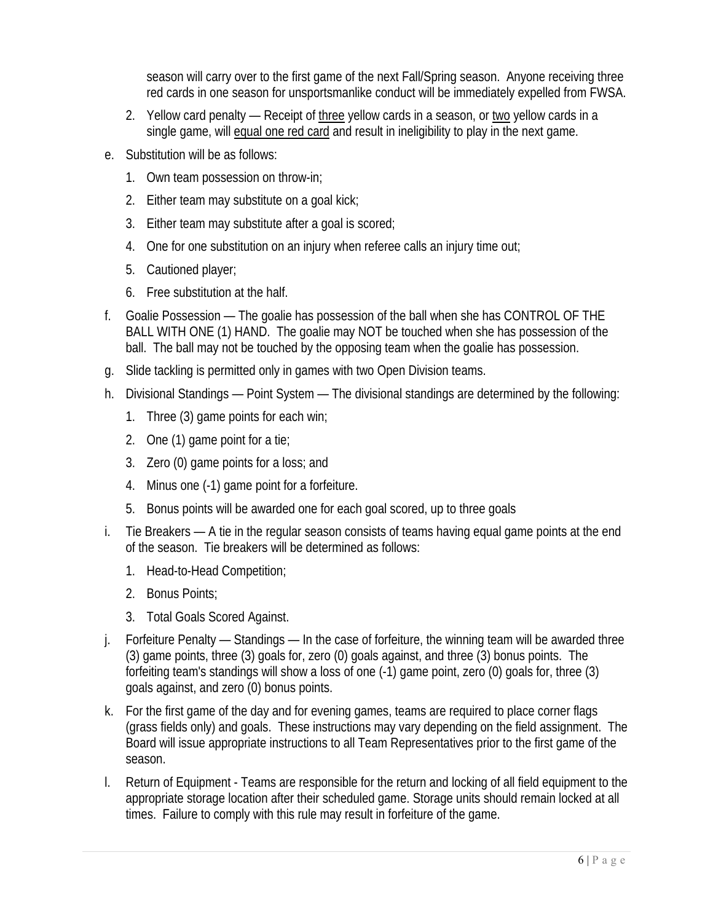season will carry over to the first game of the next Fall/Spring season. Anyone receiving three red cards in one season for unsportsmanlike conduct will be immediately expelled from FWSA.

- 2. Yellow card penalty Receipt of three yellow cards in a season, or two yellow cards in a single game, will equal one red card and result in ineligibility to play in the next game.
- e. Substitution will be as follows:
	- 1. Own team possession on throw-in;
	- 2. Either team may substitute on a goal kick;
	- 3. Either team may substitute after a goal is scored;
	- 4. One for one substitution on an injury when referee calls an injury time out;
	- 5. Cautioned player;
	- 6. Free substitution at the half.
- f. Goalie Possession The goalie has possession of the ball when she has CONTROL OF THE BALL WITH ONE (1) HAND. The goalie may NOT be touched when she has possession of the ball. The ball may not be touched by the opposing team when the goalie has possession.
- g. Slide tackling is permitted only in games with two Open Division teams.
- h. Divisional Standings Point System The divisional standings are determined by the following:
	- 1. Three (3) game points for each win;
	- 2. One (1) game point for a tie;
	- 3. Zero (0) game points for a loss; and
	- 4. Minus one (-1) game point for a forfeiture.
	- 5. Bonus points will be awarded one for each goal scored, up to three goals
- i. Tie Breakers A tie in the regular season consists of teams having equal game points at the end of the season. Tie breakers will be determined as follows:
	- 1. Head-to-Head Competition;
	- 2. Bonus Points;
	- 3. Total Goals Scored Against.
- j. Forfeiture Penalty Standings In the case of forfeiture, the winning team will be awarded three (3) game points, three (3) goals for, zero (0) goals against, and three (3) bonus points. The forfeiting team's standings will show a loss of one (-1) game point, zero (0) goals for, three (3) goals against, and zero (0) bonus points.
- k. For the first game of the day and for evening games, teams are required to place corner flags (grass fields only) and goals. These instructions may vary depending on the field assignment. The Board will issue appropriate instructions to all Team Representatives prior to the first game of the season.
- l. Return of Equipment Teams are responsible for the return and locking of all field equipment to the appropriate storage location after their scheduled game. Storage units should remain locked at all times. Failure to comply with this rule may result in forfeiture of the game.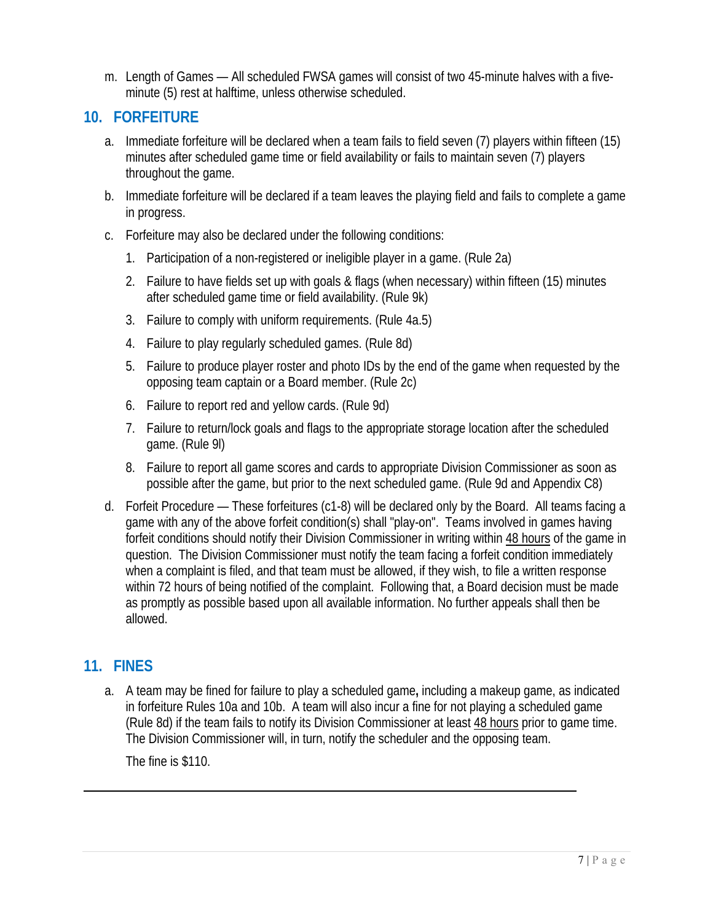m. Length of Games — All scheduled FWSA games will consist of two 45-minute halves with a fiveminute (5) rest at halftime, unless otherwise scheduled.

## **10. FORFEITURE**

- a. Immediate forfeiture will be declared when a team fails to field seven (7) players within fifteen (15) minutes after scheduled game time or field availability or fails to maintain seven (7) players throughout the game.
- b. Immediate forfeiture will be declared if a team leaves the playing field and fails to complete a game in progress.
- c. Forfeiture may also be declared under the following conditions:
	- 1. Participation of a non-registered or ineligible player in a game. (Rule 2a)
	- 2. Failure to have fields set up with goals & flags (when necessary) within fifteen (15) minutes after scheduled game time or field availability. (Rule 9k)
	- 3. Failure to comply with uniform requirements. (Rule 4a.5)
	- 4. Failure to play regularly scheduled games. (Rule 8d)
	- 5. Failure to produce player roster and photo IDs by the end of the game when requested by the opposing team captain or a Board member. (Rule 2c)
	- 6. Failure to report red and yellow cards. (Rule 9d)
	- 7. Failure to return/lock goals and flags to the appropriate storage location after the scheduled game. (Rule 9l)
	- 8. Failure to report all game scores and cards to appropriate Division Commissioner as soon as possible after the game, but prior to the next scheduled game. (Rule 9d and Appendix C8)
- d. Forfeit Procedure These forfeitures (c1-8) will be declared only by the Board. All teams facing a game with any of the above forfeit condition(s) shall "play-on". Teams involved in games having forfeit conditions should notify their Division Commissioner in writing within 48 hours of the game in question. The Division Commissioner must notify the team facing a forfeit condition immediately when a complaint is filed, and that team must be allowed, if they wish, to file a written response within 72 hours of being notified of the complaint. Following that, a Board decision must be made as promptly as possible based upon all available information. No further appeals shall then be allowed.

## **11. FINES**

a. A team may be fined for failure to play a scheduled game**,** including a makeup game, as indicated in forfeiture Rules 10a and 10b. A team will also incur a fine for not playing a scheduled game (Rule 8d) if the team fails to notify its Division Commissioner at least 48 hours prior to game time. The Division Commissioner will, in turn, notify the scheduler and the opposing team.

The fine is \$110.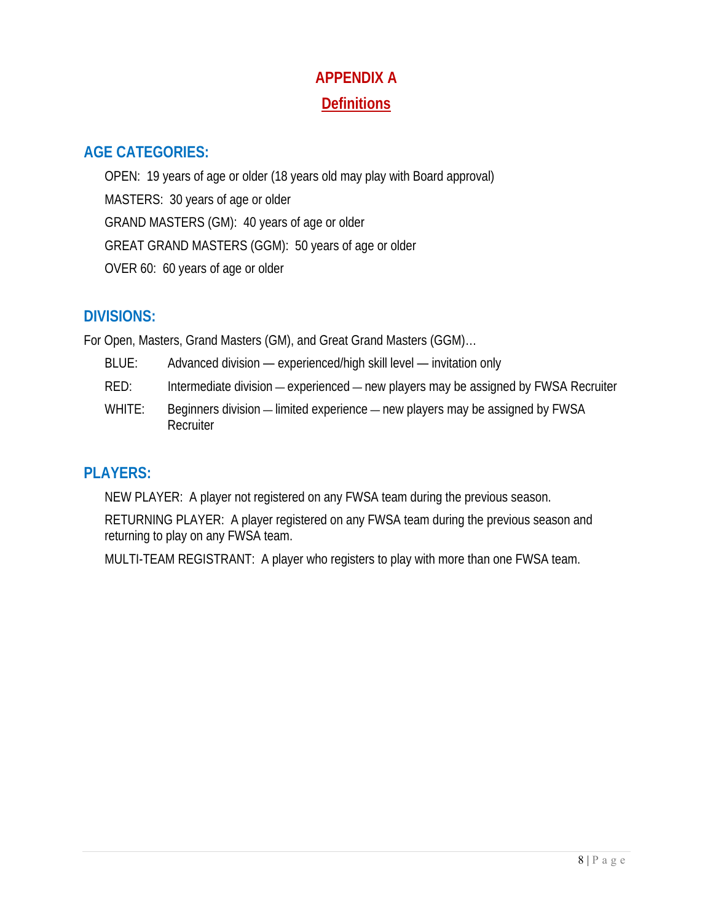# **APPENDIX A Definitions**

## **AGE CATEGORIES:**

OPEN: 19 years of age or older (18 years old may play with Board approval) MASTERS: 30 years of age or older GRAND MASTERS (GM): 40 years of age or older GREAT GRAND MASTERS (GGM): 50 years of age or older OVER 60: 60 years of age or older

## **DIVISIONS:**

For Open, Masters, Grand Masters (GM), and Great Grand Masters (GGM)…

BLUE: Advanced division — experienced/high skill level — invitation only RED: Intermediate division — experienced — new players may be assigned by FWSA Recruiter WHITE: Beginners division — limited experience — new players may be assigned by FWSA **Recruiter** 

# **PLAYERS:**

NEW PLAYER: A player not registered on any FWSA team during the previous season.

RETURNING PLAYER: A player registered on any FWSA team during the previous season and returning to play on any FWSA team.

MULTI-TEAM REGISTRANT: A player who registers to play with more than one FWSA team.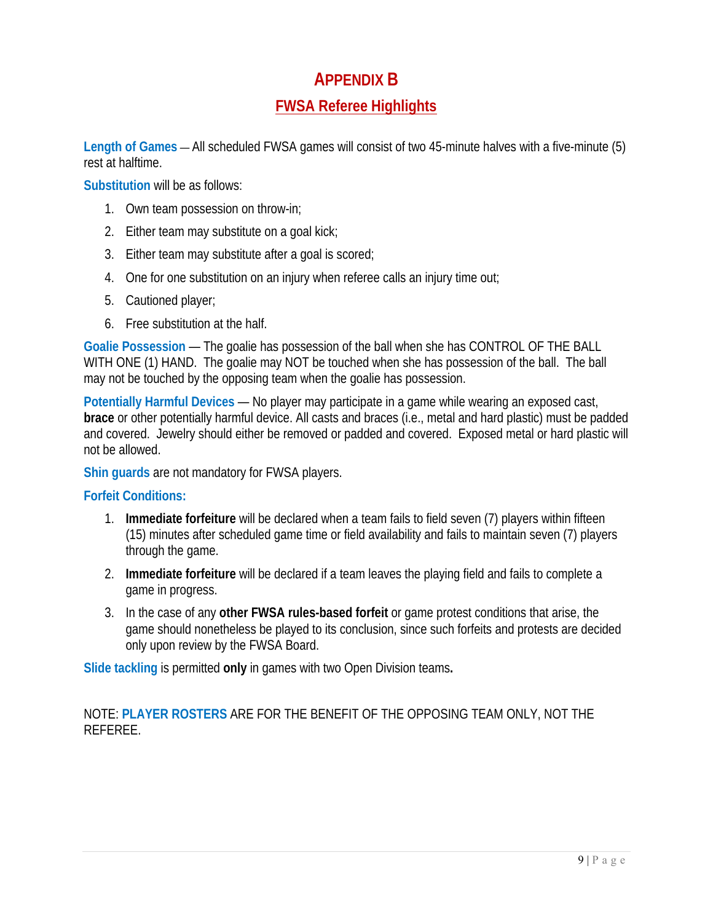## **APPENDIX B**

## **FWSA Referee Highlights**

**Length of Games** — All scheduled FWSA games will consist of two 45-minute halves with a five-minute (5) rest at halftime.

**Substitution** will be as follows:

- 1. Own team possession on throw-in;
- 2. Either team may substitute on a goal kick;
- 3. Either team may substitute after a goal is scored;
- 4. One for one substitution on an injury when referee calls an injury time out;
- 5. Cautioned player;
- 6. Free substitution at the half.

**Goalie Possession** — The goalie has possession of the ball when she has CONTROL OF THE BALL WITH ONE (1) HAND. The goalie may NOT be touched when she has possession of the ball. The ball may not be touched by the opposing team when the goalie has possession.

**Potentially Harmful Devices** — No player may participate in a game while wearing an exposed cast, **brace** or other potentially harmful device. All casts and braces (i.e., metal and hard plastic) must be padded and covered. Jewelry should either be removed or padded and covered. Exposed metal or hard plastic will not be allowed.

**Shin guards** are not mandatory for FWSA players.

## **Forfeit Conditions:**

- 1. **Immediate forfeiture** will be declared when a team fails to field seven (7) players within fifteen (15) minutes after scheduled game time or field availability and fails to maintain seven (7) players through the game.
- 2. **Immediate forfeiture** will be declared if a team leaves the playing field and fails to complete a game in progress.
- 3. In the case of any **other FWSA rules-based forfeit** or game protest conditions that arise, the game should nonetheless be played to its conclusion, since such forfeits and protests are decided only upon review by the FWSA Board.

**Slide tackling** is permitted **only** in games with two Open Division teams**.** 

NOTE: **PLAYER ROSTERS** ARE FOR THE BENEFIT OF THE OPPOSING TEAM ONLY, NOT THE REFEREE.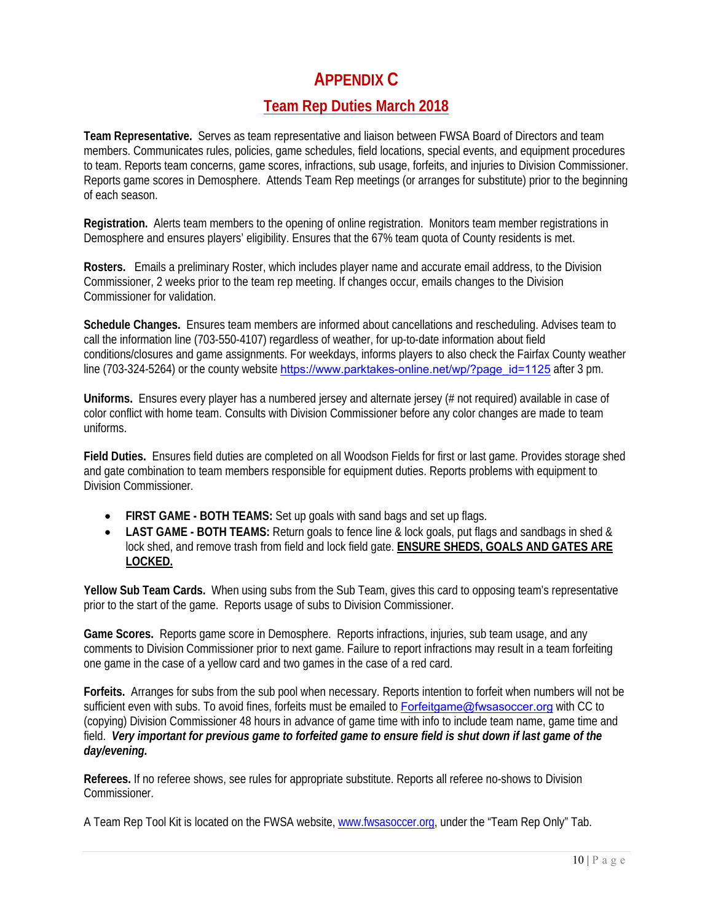## **APPENDIX C**

## **Team Rep Duties March 2018**

**Team Representative.** Serves as team representative and liaison between FWSA Board of Directors and team members. Communicates rules, policies, game schedules, field locations, special events, and equipment procedures to team. Reports team concerns, game scores, infractions, sub usage, forfeits, and injuries to Division Commissioner. Reports game scores in Demosphere. Attends Team Rep meetings (or arranges for substitute) prior to the beginning of each season.

**Registration.** Alerts team members to the opening of online registration. Monitors team member registrations in Demosphere and ensures players' eligibility. Ensures that the 67% team quota of County residents is met.

**Rosters.** Emails a preliminary Roster, which includes player name and accurate email address, to the Division Commissioner, 2 weeks prior to the team rep meeting. If changes occur, emails changes to the Division Commissioner for validation.

**Schedule Changes.** Ensures team members are informed about cancellations and rescheduling. Advises team to call the information line (703-550-4107) regardless of weather, for up-to-date information about field conditions/closures and game assignments. For weekdays, informs players to also check the Fairfax County weather line (703-324-5264) or the county website https://www.parktakes-online.net/wp/?page\_id=1125 after 3 pm.

**Uniforms.** Ensures every player has a numbered jersey and alternate jersey (# not required) available in case of color conflict with home team. Consults with Division Commissioner before any color changes are made to team uniforms.

**Field Duties.** Ensures field duties are completed on all Woodson Fields for first or last game. Provides storage shed and gate combination to team members responsible for equipment duties. Reports problems with equipment to Division Commissioner.

- **FIRST GAME BOTH TEAMS:** Set up goals with sand bags and set up flags.
- LAST GAME BOTH TEAMS: Return goals to fence line & lock goals, put flags and sandbags in shed & lock shed, and remove trash from field and lock field gate. **ENSURE SHEDS, GOALS AND GATES ARE LOCKED.**

**Yellow Sub Team Cards.** When using subs from the Sub Team, gives this card to opposing team's representative prior to the start of the game. Reports usage of subs to Division Commissioner.

**Game Scores.** Reports game score in Demosphere. Reports infractions, injuries, sub team usage, and any comments to Division Commissioner prior to next game. Failure to report infractions may result in a team forfeiting one game in the case of a yellow card and two games in the case of a red card.

**Forfeits.** Arranges for subs from the sub pool when necessary. Reports intention to forfeit when numbers will not be sufficient even with subs. To avoid fines, forfeits must be emailed to Forfeitgame@fwsasoccer.org with CC to (copying) Division Commissioner 48 hours in advance of game time with info to include team name, game time and field. *Very important for previous game to forfeited game to ensure field is shut down if last game of the day/evening.* 

**Referees.** If no referee shows, see rules for appropriate substitute. Reports all referee no-shows to Division Commissioner.

A Team Rep Tool Kit is located on the FWSA website, www.fwsasoccer.org, under the "Team Rep Only" Tab.